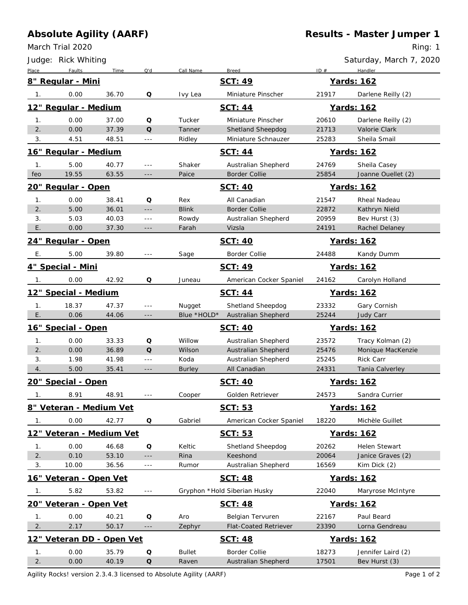## **Absolute Agility (AARF)**

March Trial 2020

**Results - Master Jumper 1**

Ring: 1

|                                | Judge: Rick Whiting          |       |                      |                |                              |            | Saturday, March 7, 2020 |  |  |
|--------------------------------|------------------------------|-------|----------------------|----------------|------------------------------|------------|-------------------------|--|--|
| Place                          | Faults                       | Time  | Q'd                  | Call Name      | <b>Breed</b>                 | ID#        | Handler                 |  |  |
|                                | 8" Regular - Mini            |       |                      |                | SCT: 49                      |            | Yards: 162              |  |  |
| 1.                             | 0.00                         | 36.70 | Q                    | Ivy Lea        | Miniature Pinscher           | 21917      | Darlene Reilly (2)      |  |  |
|                                | 12" Regular - Medium         |       |                      |                | <b>SCT: 44</b>               |            | Yards: 162              |  |  |
| 1.                             | 0.00                         | 37.00 | Q                    | Tucker         | Miniature Pinscher           | 20610      | Darlene Reilly (2)      |  |  |
| 2.                             | 0.00                         | 37.39 | $\Omega$             | Tanner         | Shetland Sheepdog            | 21713      | Valorie Clark           |  |  |
| 3.                             | 4.51                         | 48.51 | $- - -$              | Ridley         | Miniature Schnauzer          | 25283      | Sheila Smail            |  |  |
|                                | <u> 16" Regular - Medium</u> |       |                      |                | SCT: 44                      |            | Yards: 162              |  |  |
| 1.                             | 5.00                         | 40.77 | $- - -$              | Shaker         | Australian Shepherd          | 24769      | Sheila Casey            |  |  |
| feo                            | 19.55                        | 63.55 | $-\, -\, -$          | Paice          | <b>Border Collie</b>         | 25854      | Joanne Ouellet (2)      |  |  |
|                                | <u> 20" Regular - Open</u>   |       |                      | <b>SCT: 40</b> |                              |            | Yards: 162              |  |  |
| 1.                             | 0.00                         | 38.41 | Q                    | Rex            | All Canadian                 | 21547      | Rheal Nadeau            |  |  |
| 2.                             | 5.00                         | 36.01 | $- - -$              | <b>Blink</b>   | <b>Border Collie</b>         | 22872      | Kathryn Nield           |  |  |
| 3.                             | 5.03                         | 40.03 | $- - -$              | Rowdy          | Australian Shepherd          | 20959      | Bev Hurst (3)           |  |  |
| Ε.                             | 0.00                         | 37.30 | $- - -$              | Farah          | Vizsla                       | 24191      | Rachel Delaney          |  |  |
|                                | 24" Regular - Open           |       |                      |                | <b>SCT: 40</b>               |            | <b>Yards: 162</b>       |  |  |
| Е.                             | 5.00                         | 39.80 | $\frac{1}{2}$        | Sage           | Border Collie                | 24488      | Kandy Dumm              |  |  |
| 4" Special - Mini              |                              |       |                      |                | SCT: 49                      | Yards: 162 |                         |  |  |
| $\mathbf{1}$ .                 | 0.00                         | 42.92 | Q                    | Juneau         | American Cocker Spaniel      | 24162      | Carolyn Holland         |  |  |
| 12" Special - Medium           |                              |       |                      |                | SCT: 44                      |            | Yards: 162              |  |  |
| 1.                             | 18.37                        | 47.37 | ---                  | Nugget         | Shetland Sheepdog            | 23332      | Gary Cornish            |  |  |
| $\sqrt{E}$ .                   | 0.06                         | 44.06 | $---$                | Blue *HOLD*    | Australian Shepherd          | 25244      | Judy Carr               |  |  |
|                                | 16" Special - Open           |       |                      |                | <b>SCT: 40</b>               |            | Yards: 162              |  |  |
| 1.                             | 0.00                         | 33.33 | Q                    | Willow         | Australian Shepherd          | 23572      | Tracy Kolman (2)        |  |  |
| 2.                             | 0.00                         | 36.89 | Q                    | Wilson         | Australian Shepherd          | 25476      | Monique MacKenzie       |  |  |
| 3.                             | 1.98                         | 41.98 | $\sim$ $\sim$ $\sim$ | Koda           | Australian Shepherd          | 25245      | Rick Carr               |  |  |
| 4.                             | 5.00                         | 35.41 | $- - -$              | <b>Burley</b>  | All Canadian                 | 24331      | Tania Calverley         |  |  |
| 20" Special - Open             |                              |       |                      | <b>SCT: 40</b> |                              | Yards: 162 |                         |  |  |
| 1.                             | 8.91                         | 48.91 |                      | Cooper         | Golden Retriever             | 24573      | Sandra Currier          |  |  |
| 8" Veteran - Medium Vet        |                              |       |                      |                | SCT: 53<br>Yards: 162        |            |                         |  |  |
| $\mathbf{1}$ .                 | 0.00                         | 42.77 | $\mathsf O$          | Gabriel        | American Cocker Spaniel      | 18220      | Michèle Guillet         |  |  |
| 12" Veteran - Medium Vet       |                              |       |                      |                | SCT: 53<br>Yards: 162        |            |                         |  |  |
| 1.                             | 0.00                         | 46.68 | $\Omega$             | Keltic         | Shetland Sheepdog            | 20262      | Helen Stewart           |  |  |
| 2.                             | 0.10                         | 53.10 | $- - -$              | Rina           | Keeshond                     | 20064      | Janice Graves (2)       |  |  |
| 3.                             | 10.00                        | 36.56 | $\sim$ $ -$          | Rumor          | Australian Shepherd          | 16569      | Kim Dick (2)            |  |  |
|                                | 16" Veteran - Open Vet       |       |                      |                | <b>SCT: 48</b>               |            | Yards: 162              |  |  |
| 1.                             | 5.82                         | 53.82 | $\sim$ $\sim$ $\sim$ |                | Gryphon *Hold Siberian Husky | 22040      | Maryrose McIntyre       |  |  |
| <u> 20" Veteran - Open Vet</u> |                              |       |                      |                | SCT: 48                      |            | Yards: 162              |  |  |
| 1.                             | 0.00                         | 40.21 | $\Omega$             | Aro            | Belgian Tervuren             | 22167      | Paul Beard              |  |  |
| 2.                             | 2.17                         | 50.17 | $-\, -\, -$          | Zephyr         | <b>Flat-Coated Retriever</b> | 23390      | Lorna Gendreau          |  |  |
|                                | 12" Veteran DD - Open Vet    |       |                      |                | <b>SCT: 48</b>               |            | Yards: 162              |  |  |
|                                |                              |       |                      |                |                              |            |                         |  |  |
| 1.                             | 0.00                         | 35.79 | Q                    | <b>Bullet</b>  | <b>Border Collie</b>         | 18273      | Jennifer Laird (2)      |  |  |

Agility Rocks! version 2.3.4.3 licensed to Absolute Agility (AARF) example 2 and the example 2 and 2 and 2 and 2